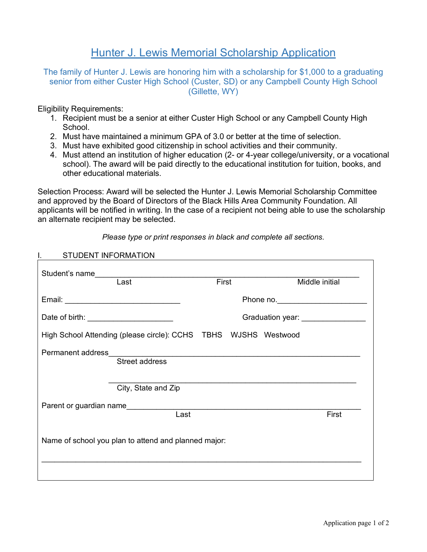## Hunter J. Lewis Memorial Scholarship Application

The family of Hunter J. Lewis are honoring him with a scholarship for \$1,000 to a graduating senior from either Custer High School (Custer, SD) or any Campbell County High School (Gillette, WY)

Eligibility Requirements:

- 1. Recipient must be a senior at either Custer High School or any Campbell County High School.
- 2. Must have maintained a minimum GPA of 3.0 or better at the time of selection.
- 3. Must have exhibited good citizenship in school activities and their community.
- 4. Must attend an institution of higher education (2- or 4-year college/university, or a vocational school). The award will be paid directly to the educational institution for tuition, books, and other educational materials.

Selection Process: Award will be selected the Hunter J. Lewis Memorial Scholarship Committee and approved by the Board of Directors of the Black Hills Area Community Foundation. All applicants will be notified in writing. In the case of a recipient not being able to use the scholarship an alternate recipient may be selected.

| <b>STUDENT INFORMATION</b>                                                                                                                                                                                                           |                                   |                |  |
|--------------------------------------------------------------------------------------------------------------------------------------------------------------------------------------------------------------------------------------|-----------------------------------|----------------|--|
| Student's name<br>Last                                                                                                                                                                                                               | First                             | Middle initial |  |
|                                                                                                                                                                                                                                      |                                   |                |  |
| Date of birth: __________________________                                                                                                                                                                                            | Graduation year: ________________ |                |  |
| High School Attending (please circle): CCHS TBHS WJSHS Westwood                                                                                                                                                                      |                                   |                |  |
| Permanent address<br>Street address                                                                                                                                                                                                  |                                   |                |  |
| City, State and Zip                                                                                                                                                                                                                  |                                   |                |  |
| Parent or guardian name <b>that the control of the control of the control of the control of the control of the control of the control of the control of the control of the control of the control of the control of the control </b> |                                   |                |  |
| Last                                                                                                                                                                                                                                 |                                   | First          |  |
| Name of school you plan to attend and planned major:                                                                                                                                                                                 |                                   |                |  |
|                                                                                                                                                                                                                                      |                                   |                |  |

*Please type or print responses in black and complete all sections.*